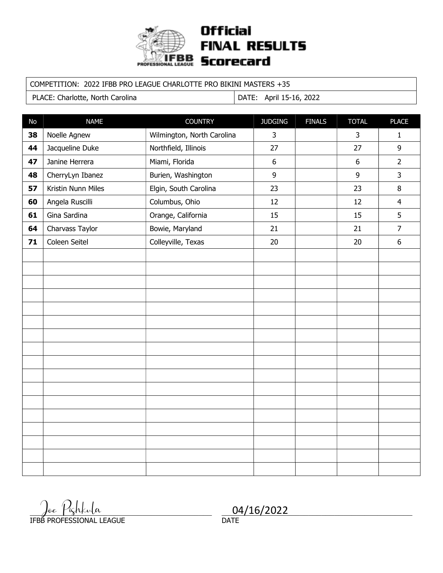

#### COMPETITION: 2022 IFBB PRO LEAGUE CHARLOTTE PRO BIKINI MASTERS +35

PLACE: Charlotte, North Carolina | DATE: April 15-16, 2022

| No | <b>NAME</b>        | <b>COUNTRY</b>             | <b>JUDGING</b> | <b>FINALS</b> | <b>TOTAL</b> | <b>PLACE</b>   |
|----|--------------------|----------------------------|----------------|---------------|--------------|----------------|
| 38 | Noelle Agnew       | Wilmington, North Carolina | $\mathsf{3}$   |               | 3            | $\mathbf{1}$   |
| 44 | Jacqueline Duke    | Northfield, Illinois       | 27             |               | 27           | 9              |
| 47 | Janine Herrera     | Miami, Florida             | 6              |               | $6\,$        | $\overline{2}$ |
| 48 | CherryLyn Ibanez   | Burien, Washington         | $\mathsf g$    |               | 9            | 3              |
| 57 | Kristin Nunn Miles | Elgin, South Carolina      | 23             |               | 23           | $\, 8$         |
| 60 | Angela Ruscilli    | Columbus, Ohio             | 12             |               | 12           | $\overline{4}$ |
| 61 | Gina Sardina       | Orange, California         | 15             |               | 15           | 5              |
| 64 | Charvass Taylor    | Bowie, Maryland            | 21             |               | 21           | $\overline{7}$ |
| 71 | Coleen Seitel      | Colleyville, Texas         | 20             |               | 20           | $6\,$          |
|    |                    |                            |                |               |              |                |
|    |                    |                            |                |               |              |                |
|    |                    |                            |                |               |              |                |
|    |                    |                            |                |               |              |                |
|    |                    |                            |                |               |              |                |
|    |                    |                            |                |               |              |                |
|    |                    |                            |                |               |              |                |
|    |                    |                            |                |               |              |                |
|    |                    |                            |                |               |              |                |
|    |                    |                            |                |               |              |                |
|    |                    |                            |                |               |              |                |
|    |                    |                            |                |               |              |                |
|    |                    |                            |                |               |              |                |
|    |                    |                            |                |               |              |                |
|    |                    |                            |                |               |              |                |
|    |                    |                            |                |               |              |                |
|    |                    |                            |                |               |              |                |

 $\int$ oe  $\int$ ighkula IFBB PROFESSIONAL LEAGUE  $\frac{\int_{\theta e} \frac{\mu_{\zeta} h_{\zeta} h_{\theta}}{\mu_{\zeta}}}{\sum_{n=1}^{N}} \frac{04}{16/2022}$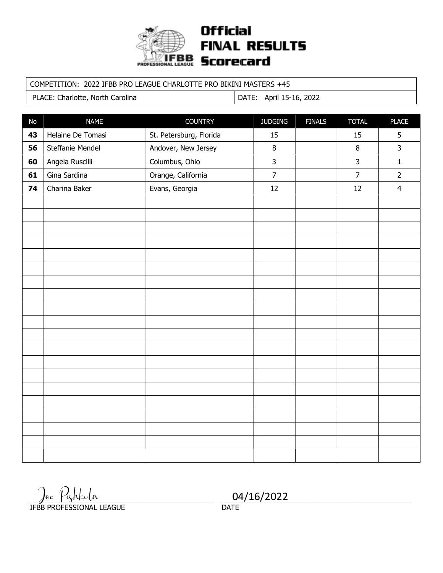

#### COMPETITION: 2022 IFBB PRO LEAGUE CHARLOTTE PRO BIKINI MASTERS +45

PLACE: Charlotte, North Carolina | DATE: April 15-16, 2022

| $\mathsf{No}$ | <b>NAME</b>       | <b>COUNTRY</b>          | <b>JUDGING</b> | <b>FINALS</b> | <b>TOTAL</b>   | <b>PLACE</b>   |
|---------------|-------------------|-------------------------|----------------|---------------|----------------|----------------|
| 43            | Helaine De Tomasi | St. Petersburg, Florida | 15             |               | 15             | 5              |
| 56            | Steffanie Mendel  | Andover, New Jersey     | 8              |               | 8              | $\overline{3}$ |
| 60            | Angela Ruscilli   | Columbus, Ohio          | $\overline{3}$ |               | 3              | $1\,$          |
| 61            | Gina Sardina      | Orange, California      | $\overline{7}$ |               | $\overline{7}$ | $\overline{2}$ |
| 74            | Charina Baker     | Evans, Georgia          | 12             |               | 12             | $\overline{4}$ |
|               |                   |                         |                |               |                |                |
|               |                   |                         |                |               |                |                |
|               |                   |                         |                |               |                |                |
|               |                   |                         |                |               |                |                |
|               |                   |                         |                |               |                |                |
|               |                   |                         |                |               |                |                |
|               |                   |                         |                |               |                |                |
|               |                   |                         |                |               |                |                |
|               |                   |                         |                |               |                |                |
|               |                   |                         |                |               |                |                |
|               |                   |                         |                |               |                |                |
|               |                   |                         |                |               |                |                |
|               |                   |                         |                |               |                |                |
|               |                   |                         |                |               |                |                |
|               |                   |                         |                |               |                |                |
|               |                   |                         |                |               |                |                |
|               |                   |                         |                |               |                |                |
|               |                   |                         |                |               |                |                |
|               |                   |                         |                |               |                |                |
|               |                   |                         |                |               |                |                |

Joe Pizhkula \_\_\_\_\_\_\_\_\_\_\_\_\_\_\_\_\_\_\_\_\_\_\_\_\_\_\_\_\_\_\_\_\_\_\_\_\_\_\_\_\_\_\_\_ Joe Pishkula 04/16/2022

IFBB PROFESSIONAL LEAGUE

**DATE**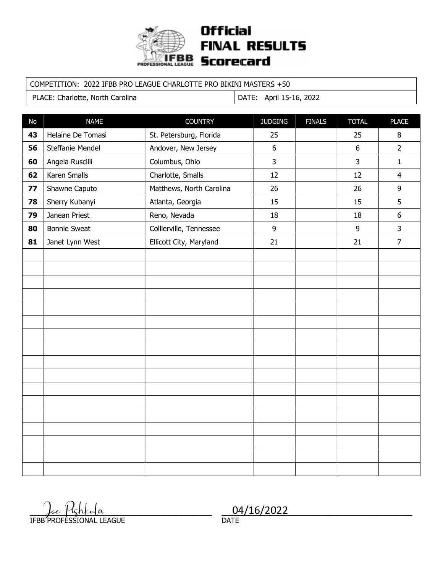

#### COMPETITION: 2022 IFBB PRO LEAGUE CHARLOTTE PRO BIKINI MASTERS +50

PLACE: Charlotte, North Carolina | DATE: April 15-16, 2022

| No | <b>NAME</b>         | <b>COUNTRY</b>           | <b>JUDGING</b>   | <b>FINALS</b> | <b>TOTAL</b>   | <b>PLACE</b>     |
|----|---------------------|--------------------------|------------------|---------------|----------------|------------------|
| 43 | Helaine De Tomasi   | St. Petersburg, Florida  | 25               |               | 25             | $\, 8$           |
| 56 | Steffanie Mendel    | Andover, New Jersey      | $\boldsymbol{6}$ |               | $6\,$          | $\overline{2}$   |
| 60 | Angela Ruscilli     | Columbus, Ohio           | $\overline{3}$   |               | $\overline{3}$ | $\mathbf{1}$     |
| 62 | Karen Smalls        | Charlotte, Smalls        | 12               |               | 12             | $\overline{4}$   |
| 77 | Shawne Caputo       | Matthews, North Carolina | 26               |               | 26             | 9                |
| 78 | Sherry Kubanyi      | Atlanta, Georgia         | 15               |               | 15             | 5                |
| 79 | Janean Priest       | Reno, Nevada             | 18               |               | 18             | $\boldsymbol{6}$ |
| 80 | <b>Bonnie Sweat</b> | Collierville, Tennessee  | 9                |               | 9              | 3                |
| 81 | Janet Lynn West     | Ellicott City, Maryland  | 21               |               | 21             | $\overline{7}$   |
|    |                     |                          |                  |               |                |                  |
|    |                     |                          |                  |               |                |                  |
|    |                     |                          |                  |               |                |                  |
|    |                     |                          |                  |               |                |                  |
|    |                     |                          |                  |               |                |                  |
|    |                     |                          |                  |               |                |                  |
|    |                     |                          |                  |               |                |                  |
|    |                     |                          |                  |               |                |                  |
|    |                     |                          |                  |               |                |                  |
|    |                     |                          |                  |               |                |                  |
|    |                     |                          |                  |               |                |                  |
|    |                     |                          |                  |               |                |                  |
|    |                     |                          |                  |               |                |                  |
|    |                     |                          |                  |               |                |                  |
|    |                     |                          |                  |               |                |                  |
|    |                     |                          |                  |               |                |                  |
|    |                     |                          |                  |               |                |                  |

 $\int$ de Pighkula IFBB PROFESSIONAL LEAGUE  $\frac{\int_{\theta e} \int i \zeta h \chi_{\nu} |a}{\text{DAPTESSIONAL IERCISE}}$